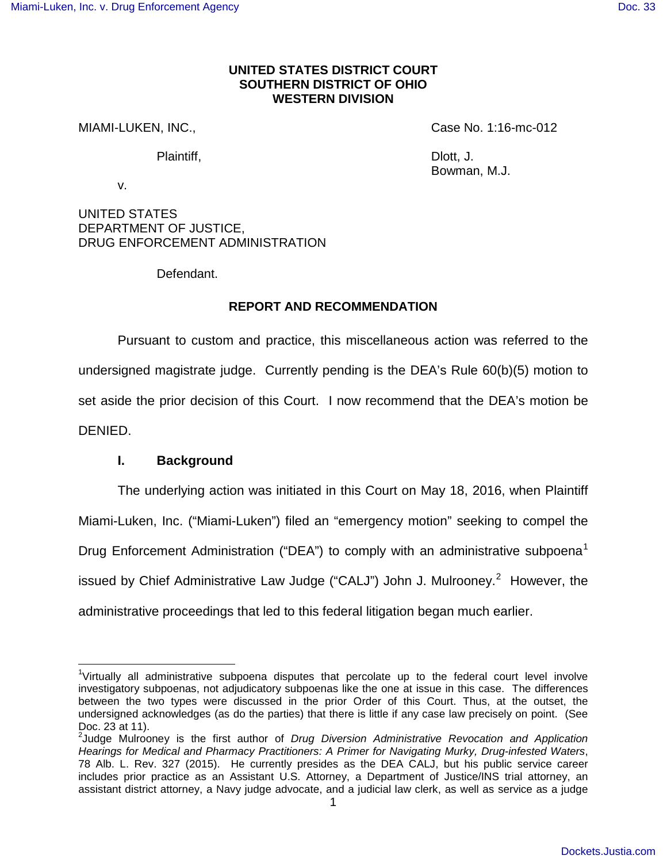## **UNITED STATES DISTRICT COURT SOUTHERN DISTRICT OF OHIO WESTERN DIVISION**

MIAMI-LUKEN, INC., The Case No. 1:16-mc-012

Plaintiff, Diott, J.

Bowman, M.J.

v.

UNITED STATES DEPARTMENT OF JUSTICE, DRUG ENFORCEMENT ADMINISTRATION

Defendant.

# **REPORT AND RECOMMENDATION**

Pursuant to custom and practice, this miscellaneous action was referred to the undersigned magistrate judge. Currently pending is the DEA's Rule 60(b)(5) motion to set aside the prior decision of this Court. I now recommend that the DEA's motion be DENIED.

# **I. Background**

 $\overline{a}$ 

The underlying action was initiated in this Court on May 18, 2016, when Plaintiff Miami-Luken, Inc. ("Miami-Luken") filed an "emergency motion" seeking to compel the Drug Enforcement Administration ("DEA") to comply with an administrative subpoena<sup>[1](#page-0-0)</sup> issued by Chief Administrative Law Judge ("CALJ") John J. Mulrooney.<sup>[2](#page-0-1)</sup> However, the administrative proceedings that led to this federal litigation began much earlier.

<span id="page-0-0"></span><sup>&</sup>lt;sup>1</sup>Virtually all administrative subpoena disputes that percolate up to the federal court level involve investigatory subpoenas, not adjudicatory subpoenas like the one at issue in this case. The differences between the two types were discussed in the prior Order of this Court. Thus, at the outset, the undersigned acknowledges (as do the parties) that there is little if any case law precisely on point. (See Doc. 23 at 11).

<span id="page-0-1"></span> $2$ Judge Mulrooney is the first author of Drug Diversion Administrative Revocation and Application Hearings for Medical and Pharmacy Practitioners: A Primer for Navigating Murky, Drug-infested Waters, 78 Alb. L. Rev. 327 (2015). He currently presides as the DEA CALJ, but his public service career includes prior practice as an Assistant U.S. Attorney, a Department of Justice/INS trial attorney, an assistant district attorney, a Navy judge advocate, and a judicial law clerk, as well as service as a judge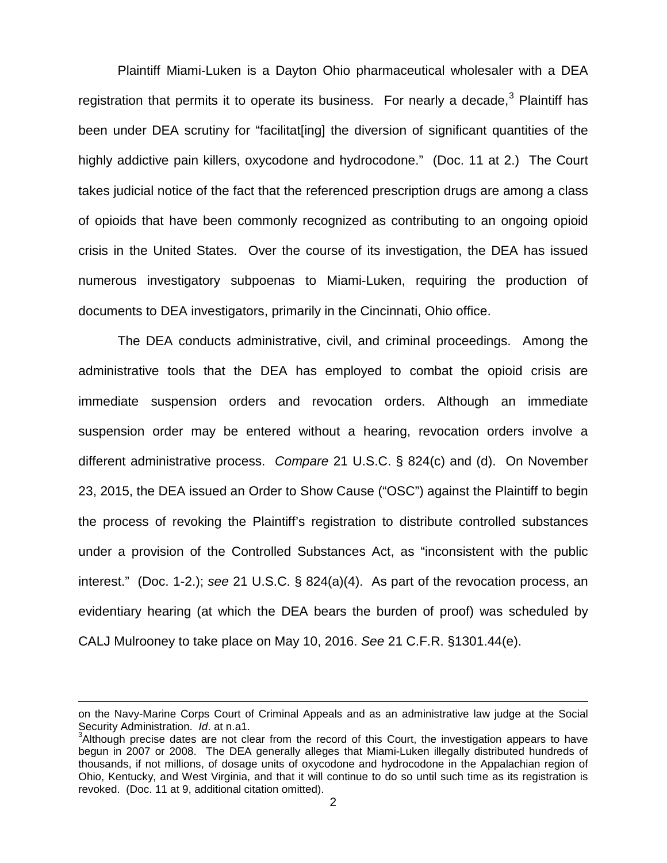Plaintiff Miami-Luken is a Dayton Ohio pharmaceutical wholesaler with a DEA registration that permits it to operate its business. For nearly a decade,  $3$  Plaintiff has been under DEA scrutiny for "facilitat[ing] the diversion of significant quantities of the highly addictive pain killers, oxycodone and hydrocodone." (Doc. 11 at 2.) The Court takes judicial notice of the fact that the referenced prescription drugs are among a class of opioids that have been commonly recognized as contributing to an ongoing opioid crisis in the United States. Over the course of its investigation, the DEA has issued numerous investigatory subpoenas to Miami-Luken, requiring the production of documents to DEA investigators, primarily in the Cincinnati, Ohio office.

The DEA conducts administrative, civil, and criminal proceedings. Among the administrative tools that the DEA has employed to combat the opioid crisis are immediate suspension orders and revocation orders. Although an immediate suspension order may be entered without a hearing, revocation orders involve a different administrative process. Compare 21 U.S.C. § 824(c) and (d). On November 23, 2015, the DEA issued an Order to Show Cause ("OSC") against the Plaintiff to begin the process of revoking the Plaintiff's registration to distribute controlled substances under a provision of the Controlled Substances Act, as "inconsistent with the public interest." (Doc. 1-2.); see 21 U.S.C. § 824(a)(4). As part of the revocation process, an evidentiary hearing (at which the DEA bears the burden of proof) was scheduled by CALJ Mulrooney to take place on May 10, 2016. See 21 C.F.R. §1301.44(e).

l

on the Navy-Marine Corps Court of Criminal Appeals and as an administrative law judge at the Social Security Administration. Id. at n.a1.

<span id="page-1-0"></span> $3$ Although precise dates are not clear from the record of this Court, the investigation appears to have begun in 2007 or 2008. The DEA generally alleges that Miami-Luken illegally distributed hundreds of thousands, if not millions, of dosage units of oxycodone and hydrocodone in the Appalachian region of Ohio, Kentucky, and West Virginia, and that it will continue to do so until such time as its registration is revoked. (Doc. 11 at 9, additional citation omitted).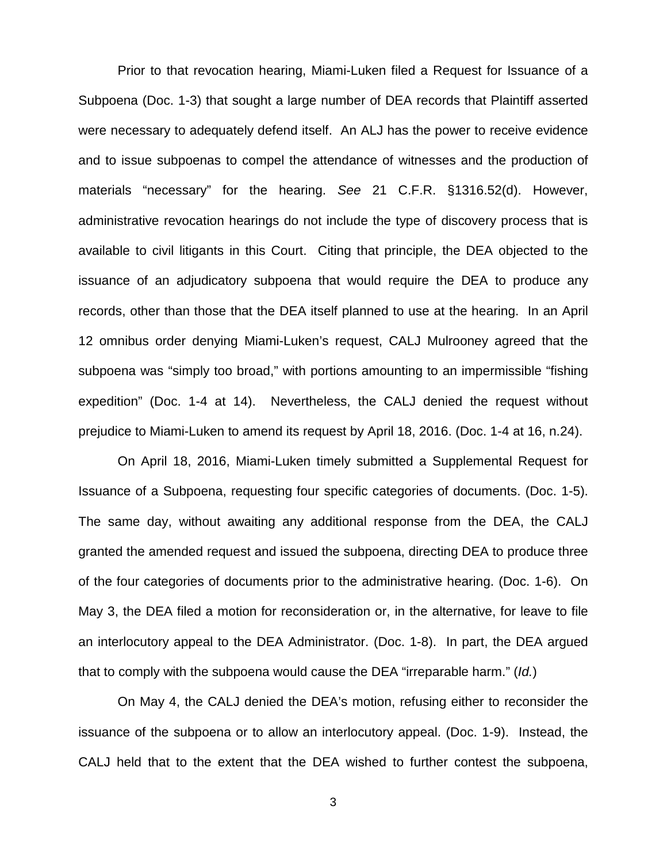Prior to that revocation hearing, Miami-Luken filed a Request for Issuance of a Subpoena (Doc. 1-3) that sought a large number of DEA records that Plaintiff asserted were necessary to adequately defend itself. An ALJ has the power to receive evidence and to issue subpoenas to compel the attendance of witnesses and the production of materials "necessary" for the hearing. See 21 C.F.R. §1316.52(d). However, administrative revocation hearings do not include the type of discovery process that is available to civil litigants in this Court. Citing that principle, the DEA objected to the issuance of an adjudicatory subpoena that would require the DEA to produce any records, other than those that the DEA itself planned to use at the hearing. In an April 12 omnibus order denying Miami-Luken's request, CALJ Mulrooney agreed that the subpoena was "simply too broad," with portions amounting to an impermissible "fishing expedition" (Doc. 1-4 at 14). Nevertheless, the CALJ denied the request without prejudice to Miami-Luken to amend its request by April 18, 2016. (Doc. 1-4 at 16, n.24).

On April 18, 2016, Miami-Luken timely submitted a Supplemental Request for Issuance of a Subpoena, requesting four specific categories of documents. (Doc. 1-5). The same day, without awaiting any additional response from the DEA, the CALJ granted the amended request and issued the subpoena, directing DEA to produce three of the four categories of documents prior to the administrative hearing. (Doc. 1-6). On May 3, the DEA filed a motion for reconsideration or, in the alternative, for leave to file an interlocutory appeal to the DEA Administrator. (Doc. 1-8). In part, the DEA argued that to comply with the subpoena would cause the DEA "irreparable harm." (Id.)

On May 4, the CALJ denied the DEA's motion, refusing either to reconsider the issuance of the subpoena or to allow an interlocutory appeal. (Doc. 1-9). Instead, the CALJ held that to the extent that the DEA wished to further contest the subpoena,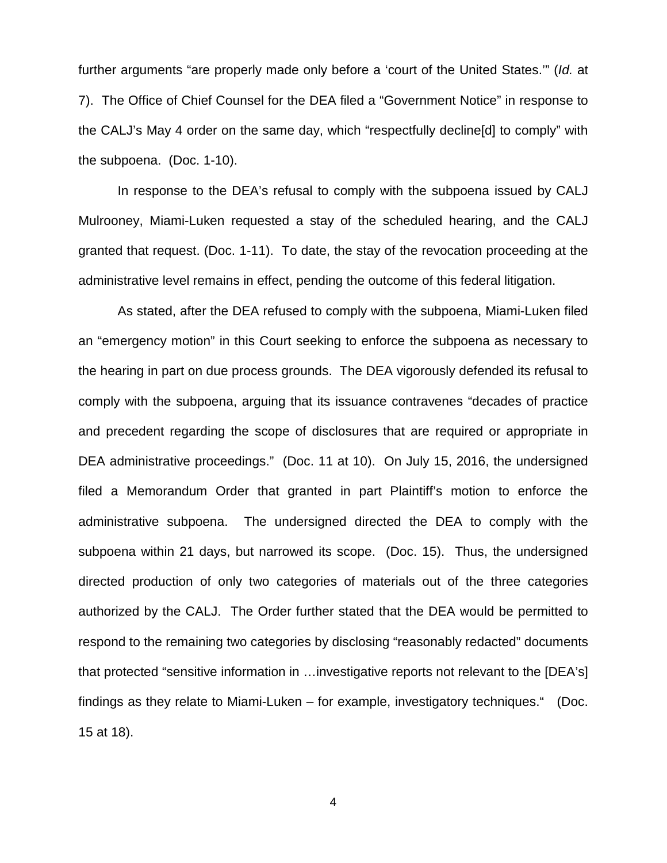further arguments "are properly made only before a 'court of the United States.'" (Id. at 7). The Office of Chief Counsel for the DEA filed a "Government Notice" in response to the CALJ's May 4 order on the same day, which "respectfully decline[d] to comply" with the subpoena. (Doc. 1-10).

In response to the DEA's refusal to comply with the subpoena issued by CALJ Mulrooney, Miami-Luken requested a stay of the scheduled hearing, and the CALJ granted that request. (Doc. 1-11). To date, the stay of the revocation proceeding at the administrative level remains in effect, pending the outcome of this federal litigation.

As stated, after the DEA refused to comply with the subpoena, Miami-Luken filed an "emergency motion" in this Court seeking to enforce the subpoena as necessary to the hearing in part on due process grounds. The DEA vigorously defended its refusal to comply with the subpoena, arguing that its issuance contravenes "decades of practice and precedent regarding the scope of disclosures that are required or appropriate in DEA administrative proceedings." (Doc. 11 at 10). On July 15, 2016, the undersigned filed a Memorandum Order that granted in part Plaintiff's motion to enforce the administrative subpoena. The undersigned directed the DEA to comply with the subpoena within 21 days, but narrowed its scope. (Doc. 15). Thus, the undersigned directed production of only two categories of materials out of the three categories authorized by the CALJ. The Order further stated that the DEA would be permitted to respond to the remaining two categories by disclosing "reasonably redacted" documents that protected "sensitive information in …investigative reports not relevant to the [DEA's] findings as they relate to Miami-Luken – for example, investigatory techniques." (Doc. 15 at 18).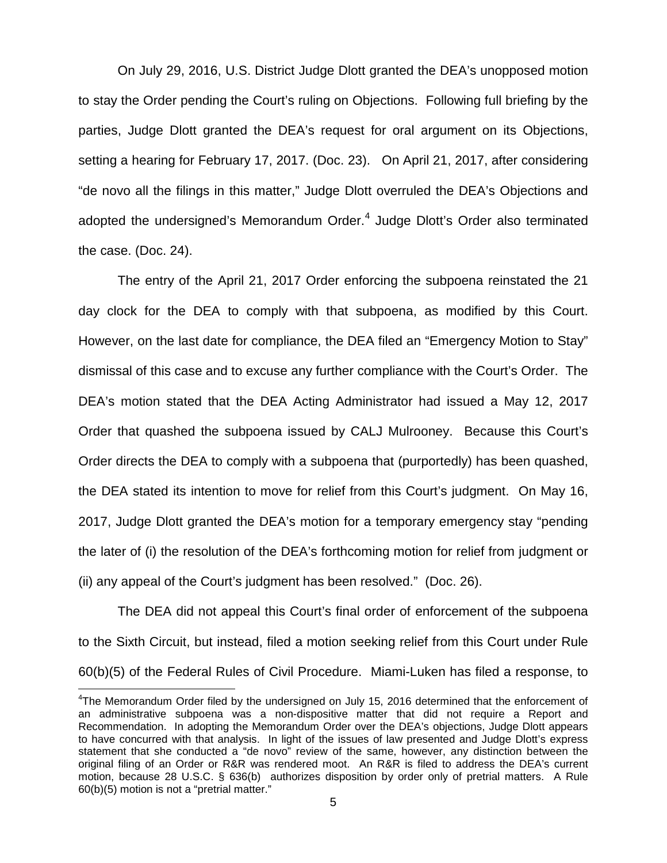On July 29, 2016, U.S. District Judge Dlott granted the DEA's unopposed motion to stay the Order pending the Court's ruling on Objections. Following full briefing by the parties, Judge Dlott granted the DEA's request for oral argument on its Objections, setting a hearing for February 17, 2017. (Doc. 23). On April 21, 2017, after considering "de novo all the filings in this matter," Judge Dlott overruled the DEA's Objections and adopted the undersigned's Memorandum Order. $4$  Judge Dlott's Order also terminated the case. (Doc. 24).

The entry of the April 21, 2017 Order enforcing the subpoena reinstated the 21 day clock for the DEA to comply with that subpoena, as modified by this Court. However, on the last date for compliance, the DEA filed an "Emergency Motion to Stay" dismissal of this case and to excuse any further compliance with the Court's Order. The DEA's motion stated that the DEA Acting Administrator had issued a May 12, 2017 Order that quashed the subpoena issued by CALJ Mulrooney. Because this Court's Order directs the DEA to comply with a subpoena that (purportedly) has been quashed, the DEA stated its intention to move for relief from this Court's judgment. On May 16, 2017, Judge Dlott granted the DEA's motion for a temporary emergency stay "pending the later of (i) the resolution of the DEA's forthcoming motion for relief from judgment or (ii) any appeal of the Court's judgment has been resolved." (Doc. 26).

The DEA did not appeal this Court's final order of enforcement of the subpoena to the Sixth Circuit, but instead, filed a motion seeking relief from this Court under Rule 60(b)(5) of the Federal Rules of Civil Procedure. Miami-Luken has filed a response, to

<span id="page-4-0"></span><sup>&</sup>lt;sup>4</sup>The Memorandum Order filed by the undersigned on July 15, 2016 determined that the enforcement of an administrative subpoena was a non-dispositive matter that did not require a Report and Recommendation. In adopting the Memorandum Order over the DEA's objections, Judge Dlott appears to have concurred with that analysis. In light of the issues of law presented and Judge Dlott's express statement that she conducted a "de novo" review of the same, however, any distinction between the original filing of an Order or R&R was rendered moot. An R&R is filed to address the DEA's current motion, because 28 U.S.C. § 636(b) authorizes disposition by order only of pretrial matters. A Rule 60(b)(5) motion is not a "pretrial matter."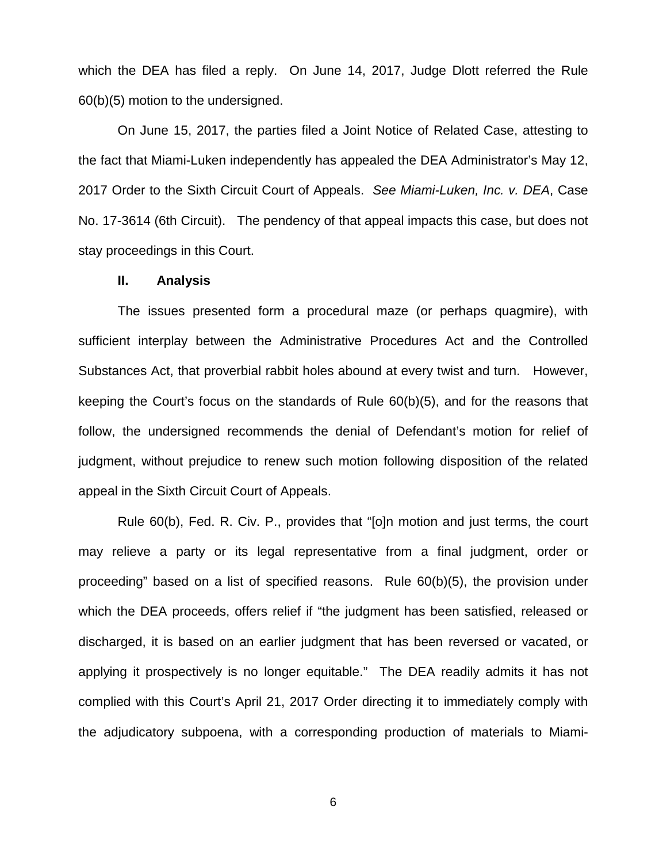which the DEA has filed a reply. On June 14, 2017, Judge Dlott referred the Rule 60(b)(5) motion to the undersigned.

On June 15, 2017, the parties filed a Joint Notice of Related Case, attesting to the fact that Miami-Luken independently has appealed the DEA Administrator's May 12, 2017 Order to the Sixth Circuit Court of Appeals. See Miami-Luken, Inc. v. DEA, Case No. 17-3614 (6th Circuit). The pendency of that appeal impacts this case, but does not stay proceedings in this Court.

#### **II. Analysis**

The issues presented form a procedural maze (or perhaps quagmire), with sufficient interplay between the Administrative Procedures Act and the Controlled Substances Act, that proverbial rabbit holes abound at every twist and turn. However, keeping the Court's focus on the standards of Rule 60(b)(5), and for the reasons that follow, the undersigned recommends the denial of Defendant's motion for relief of judgment, without prejudice to renew such motion following disposition of the related appeal in the Sixth Circuit Court of Appeals.

Rule 60(b), Fed. R. Civ. P., provides that "[o]n motion and just terms, the court may relieve a party or its legal representative from a final judgment, order or proceeding" based on a list of specified reasons. Rule 60(b)(5), the provision under which the DEA proceeds, offers relief if "the judgment has been satisfied, released or discharged, it is based on an earlier judgment that has been reversed or vacated, or applying it prospectively is no longer equitable." The DEA readily admits it has not complied with this Court's April 21, 2017 Order directing it to immediately comply with the adjudicatory subpoena, with a corresponding production of materials to Miami-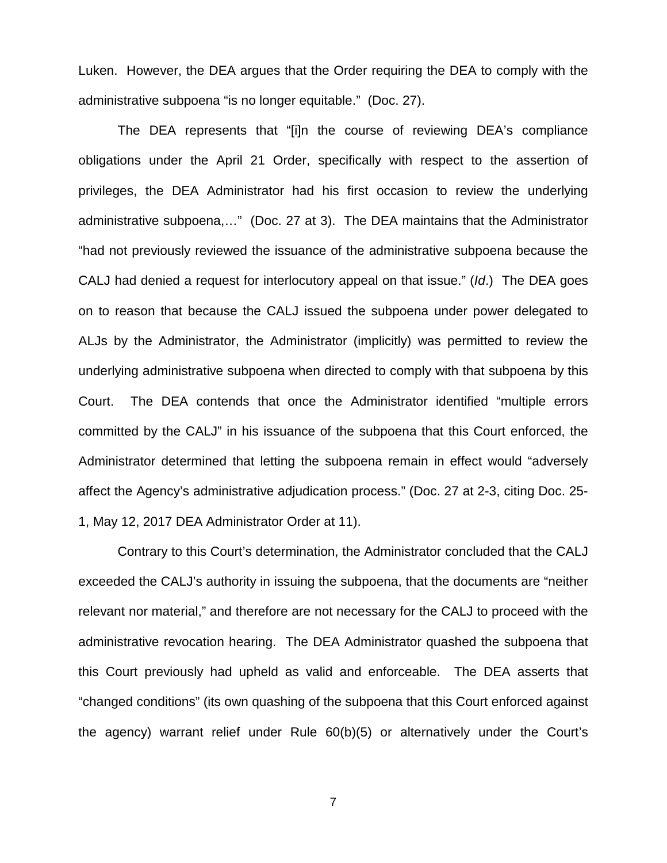Luken. However, the DEA argues that the Order requiring the DEA to comply with the administrative subpoena "is no longer equitable." (Doc. 27).

The DEA represents that "[i]n the course of reviewing DEA's compliance obligations under the April 21 Order, specifically with respect to the assertion of privileges, the DEA Administrator had his first occasion to review the underlying administrative subpoena,…" (Doc. 27 at 3). The DEA maintains that the Administrator "had not previously reviewed the issuance of the administrative subpoena because the CALJ had denied a request for interlocutory appeal on that issue." (Id.) The DEA goes on to reason that because the CALJ issued the subpoena under power delegated to ALJs by the Administrator, the Administrator (implicitly) was permitted to review the underlying administrative subpoena when directed to comply with that subpoena by this Court. The DEA contends that once the Administrator identified "multiple errors committed by the CALJ" in his issuance of the subpoena that this Court enforced, the Administrator determined that letting the subpoena remain in effect would "adversely affect the Agency's administrative adjudication process." (Doc. 27 at 2-3, citing Doc. 25- 1, May 12, 2017 DEA Administrator Order at 11).

Contrary to this Court's determination, the Administrator concluded that the CALJ exceeded the CALJ's authority in issuing the subpoena, that the documents are "neither relevant nor material," and therefore are not necessary for the CALJ to proceed with the administrative revocation hearing. The DEA Administrator quashed the subpoena that this Court previously had upheld as valid and enforceable. The DEA asserts that "changed conditions" (its own quashing of the subpoena that this Court enforced against the agency) warrant relief under Rule 60(b)(5) or alternatively under the Court's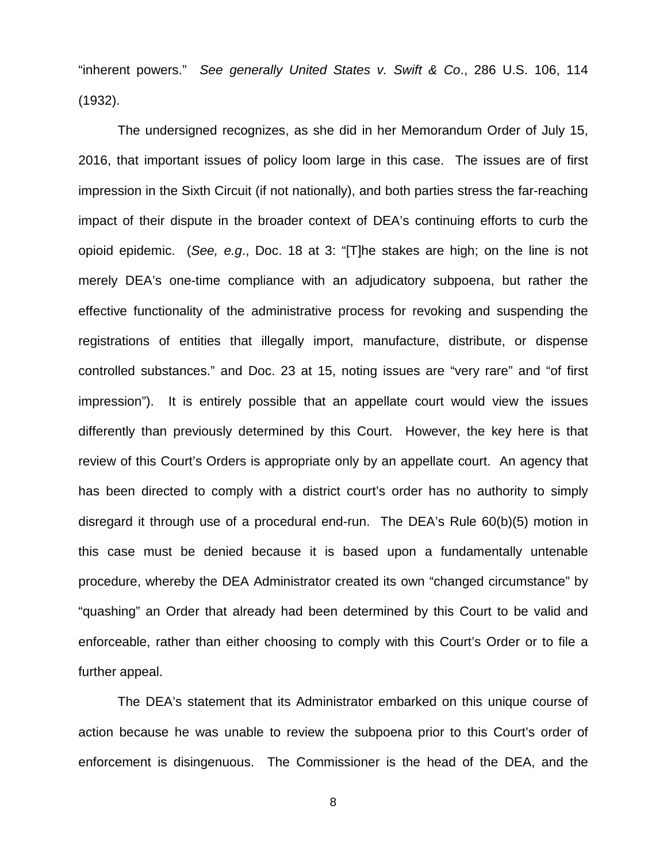"inherent powers." See generally United States v. Swift & Co., 286 U.S. 106, 114 (1932).

The undersigned recognizes, as she did in her Memorandum Order of July 15, 2016, that important issues of policy loom large in this case. The issues are of first impression in the Sixth Circuit (if not nationally), and both parties stress the far-reaching impact of their dispute in the broader context of DEA's continuing efforts to curb the opioid epidemic. (See, e.g., Doc. 18 at 3: "[T]he stakes are high; on the line is not merely DEA's one-time compliance with an adjudicatory subpoena, but rather the effective functionality of the administrative process for revoking and suspending the registrations of entities that illegally import, manufacture, distribute, or dispense controlled substances." and Doc. 23 at 15, noting issues are "very rare" and "of first impression"). It is entirely possible that an appellate court would view the issues differently than previously determined by this Court. However, the key here is that review of this Court's Orders is appropriate only by an appellate court. An agency that has been directed to comply with a district court's order has no authority to simply disregard it through use of a procedural end-run. The DEA's Rule 60(b)(5) motion in this case must be denied because it is based upon a fundamentally untenable procedure, whereby the DEA Administrator created its own "changed circumstance" by "quashing" an Order that already had been determined by this Court to be valid and enforceable, rather than either choosing to comply with this Court's Order or to file a further appeal.

The DEA's statement that its Administrator embarked on this unique course of action because he was unable to review the subpoena prior to this Court's order of enforcement is disingenuous. The Commissioner is the head of the DEA, and the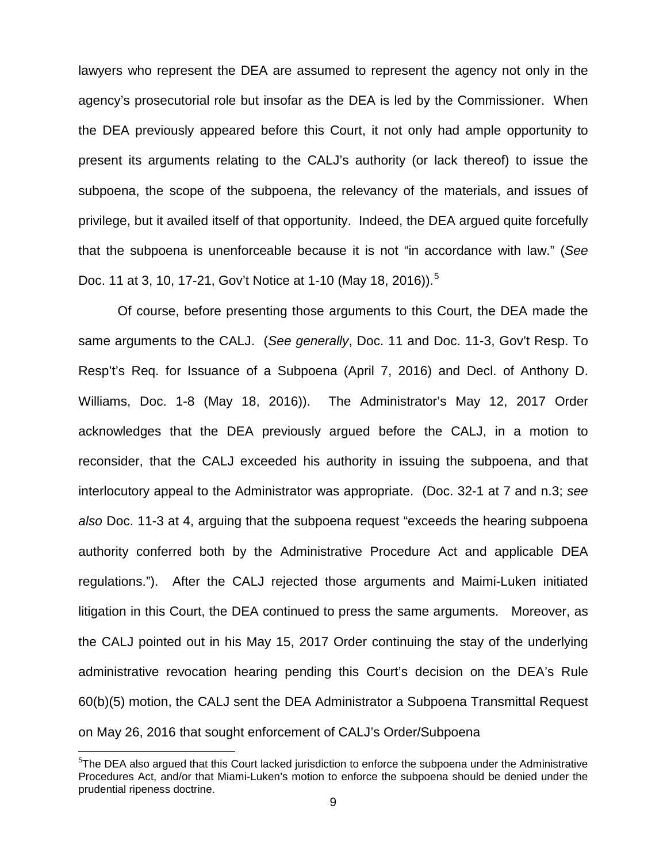lawyers who represent the DEA are assumed to represent the agency not only in the agency's prosecutorial role but insofar as the DEA is led by the Commissioner. When the DEA previously appeared before this Court, it not only had ample opportunity to present its arguments relating to the CALJ's authority (or lack thereof) to issue the subpoena, the scope of the subpoena, the relevancy of the materials, and issues of privilege, but it availed itself of that opportunity. Indeed, the DEA argued quite forcefully that the subpoena is unenforceable because it is not "in accordance with law." (See Doc. 11 at 3, 10, 17-21, Gov't Notice at 1-10 (May 18, 2016)).<sup>[5](#page-8-0)</sup>

Of course, before presenting those arguments to this Court, the DEA made the same arguments to the CALJ. (See generally, Doc. 11 and Doc. 11-3, Gov't Resp. To Resp't's Req. for Issuance of a Subpoena (April 7, 2016) and Decl. of Anthony D. Williams, Doc. 1-8 (May 18, 2016)). The Administrator's May 12, 2017 Order acknowledges that the DEA previously argued before the CALJ, in a motion to reconsider, that the CALJ exceeded his authority in issuing the subpoena, and that interlocutory appeal to the Administrator was appropriate. (Doc. 32-1 at 7 and n.3; see also Doc. 11-3 at 4, arguing that the subpoena request "exceeds the hearing subpoena authority conferred both by the Administrative Procedure Act and applicable DEA regulations."). After the CALJ rejected those arguments and Maimi-Luken initiated litigation in this Court, the DEA continued to press the same arguments. Moreover, as the CALJ pointed out in his May 15, 2017 Order continuing the stay of the underlying administrative revocation hearing pending this Court's decision on the DEA's Rule 60(b)(5) motion, the CALJ sent the DEA Administrator a Subpoena Transmittal Request on May 26, 2016 that sought enforcement of CALJ's Order/Subpoena

<span id="page-8-0"></span><sup>&</sup>lt;sup>5</sup>The DEA also argued that this Court lacked jurisdiction to enforce the subpoena under the Administrative Procedures Act, and/or that Miami-Luken's motion to enforce the subpoena should be denied under the prudential ripeness doctrine.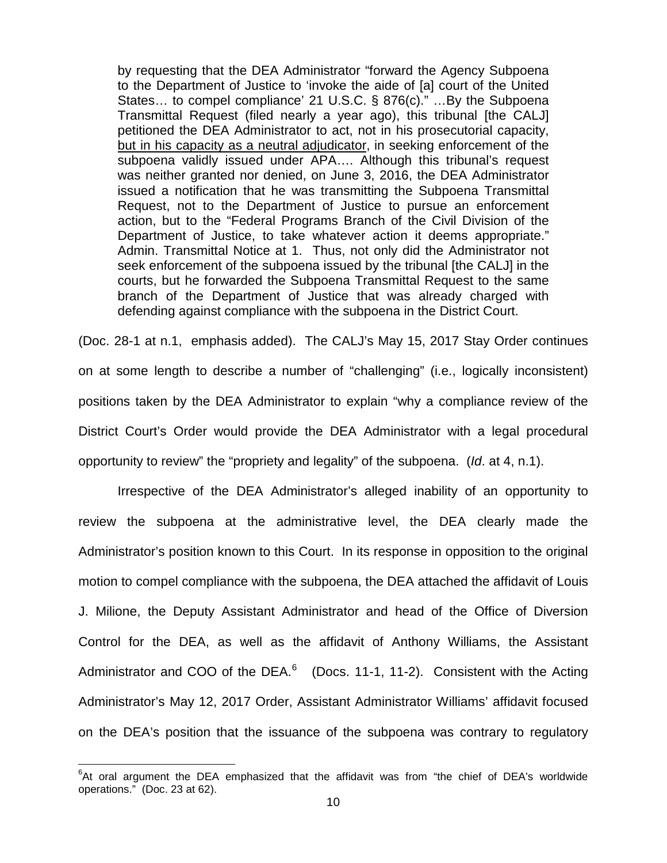by requesting that the DEA Administrator "forward the Agency Subpoena to the Department of Justice to 'invoke the aide of [a] court of the United States… to compel compliance' 21 U.S.C. § 876(c)." …By the Subpoena Transmittal Request (filed nearly a year ago), this tribunal [the CALJ] petitioned the DEA Administrator to act, not in his prosecutorial capacity, but in his capacity as a neutral adjudicator, in seeking enforcement of the subpoena validly issued under APA…. Although this tribunal's request was neither granted nor denied, on June 3, 2016, the DEA Administrator issued a notification that he was transmitting the Subpoena Transmittal Request, not to the Department of Justice to pursue an enforcement action, but to the "Federal Programs Branch of the Civil Division of the Department of Justice, to take whatever action it deems appropriate." Admin. Transmittal Notice at 1. Thus, not only did the Administrator not seek enforcement of the subpoena issued by the tribunal [the CALJ] in the courts, but he forwarded the Subpoena Transmittal Request to the same branch of the Department of Justice that was already charged with defending against compliance with the subpoena in the District Court.

(Doc. 28-1 at n.1, emphasis added). The CALJ's May 15, 2017 Stay Order continues on at some length to describe a number of "challenging" (i.e., logically inconsistent) positions taken by the DEA Administrator to explain "why a compliance review of the District Court's Order would provide the DEA Administrator with a legal procedural opportunity to review" the "propriety and legality" of the subpoena. (Id. at 4, n.1).

Irrespective of the DEA Administrator's alleged inability of an opportunity to review the subpoena at the administrative level, the DEA clearly made the Administrator's position known to this Court. In its response in opposition to the original motion to compel compliance with the subpoena, the DEA attached the affidavit of Louis J. Milione, the Deputy Assistant Administrator and head of the Office of Diversion Control for the DEA, as well as the affidavit of Anthony Williams, the Assistant Administrator and COO of the DEA. $^6$  $^6$  (Docs. 11-1, 11-2). Consistent with the Acting Administrator's May 12, 2017 Order, Assistant Administrator Williams' affidavit focused on the DEA's position that the issuance of the subpoena was contrary to regulatory

<span id="page-9-0"></span> ${}^{6}$ At oral argument the DEA emphasized that the affidavit was from "the chief of DEA's worldwide operations." (Doc. 23 at 62).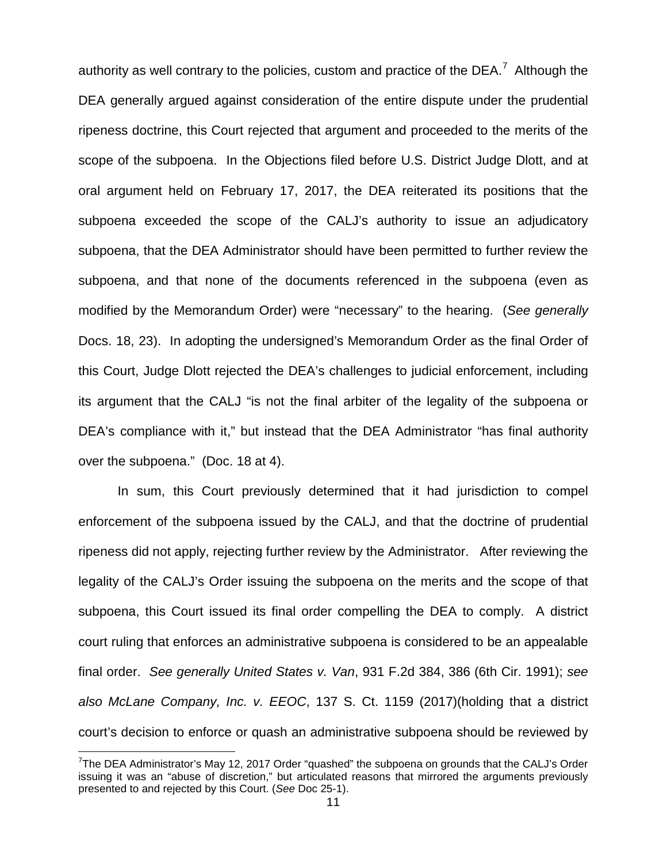authority as well contrary to the policies, custom and practice of the DEA.<sup>[7](#page-10-0)</sup> Although the DEA generally argued against consideration of the entire dispute under the prudential ripeness doctrine, this Court rejected that argument and proceeded to the merits of the scope of the subpoena. In the Objections filed before U.S. District Judge Dlott, and at oral argument held on February 17, 2017, the DEA reiterated its positions that the subpoena exceeded the scope of the CALJ's authority to issue an adjudicatory subpoena, that the DEA Administrator should have been permitted to further review the subpoena, and that none of the documents referenced in the subpoena (even as modified by the Memorandum Order) were "necessary" to the hearing. (See generally Docs. 18, 23). In adopting the undersigned's Memorandum Order as the final Order of this Court, Judge Dlott rejected the DEA's challenges to judicial enforcement, including its argument that the CALJ "is not the final arbiter of the legality of the subpoena or DEA's compliance with it," but instead that the DEA Administrator "has final authority over the subpoena." (Doc. 18 at 4).

In sum, this Court previously determined that it had jurisdiction to compel enforcement of the subpoena issued by the CALJ, and that the doctrine of prudential ripeness did not apply, rejecting further review by the Administrator. After reviewing the legality of the CALJ's Order issuing the subpoena on the merits and the scope of that subpoena, this Court issued its final order compelling the DEA to comply. A district court ruling that enforces an administrative subpoena is considered to be an appealable final order. See generally United States v. Van, 931 F.2d 384, 386 (6th Cir. 1991); see also McLane Company, Inc. v. EEOC, 137 S. Ct. 1159 (2017)(holding that a district court's decision to enforce or quash an administrative subpoena should be reviewed by

<span id="page-10-0"></span><sup>&</sup>lt;sup>7</sup>The DEA Administrator's May 12, 2017 Order "quashed" the subpoena on grounds that the CALJ's Order issuing it was an "abuse of discretion," but articulated reasons that mirrored the arguments previously presented to and rejected by this Court. (See Doc 25-1).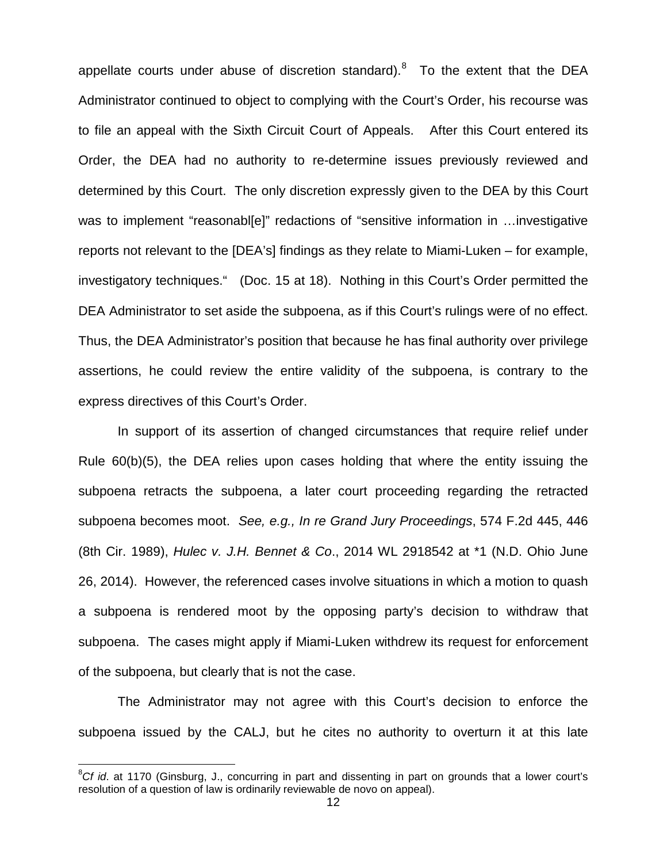appellate courts under abuse of discretion standard). $8$  To the extent that the DEA Administrator continued to object to complying with the Court's Order, his recourse was to file an appeal with the Sixth Circuit Court of Appeals. After this Court entered its Order, the DEA had no authority to re-determine issues previously reviewed and determined by this Court. The only discretion expressly given to the DEA by this Court was to implement "reasonabl[e]" redactions of "sensitive information in ...investigative reports not relevant to the [DEA's] findings as they relate to Miami-Luken – for example, investigatory techniques." (Doc. 15 at 18). Nothing in this Court's Order permitted the DEA Administrator to set aside the subpoena, as if this Court's rulings were of no effect. Thus, the DEA Administrator's position that because he has final authority over privilege assertions, he could review the entire validity of the subpoena, is contrary to the express directives of this Court's Order.

In support of its assertion of changed circumstances that require relief under Rule 60(b)(5), the DEA relies upon cases holding that where the entity issuing the subpoena retracts the subpoena, a later court proceeding regarding the retracted subpoena becomes moot. See, e.g., In re Grand Jury Proceedings, 574 F.2d 445, 446 (8th Cir. 1989), Hulec v. J.H. Bennet & Co., 2014 WL 2918542 at \*1 (N.D. Ohio June 26, 2014). However, the referenced cases involve situations in which a motion to quash a subpoena is rendered moot by the opposing party's decision to withdraw that subpoena. The cases might apply if Miami-Luken withdrew its request for enforcement of the subpoena, but clearly that is not the case.

The Administrator may not agree with this Court's decision to enforce the subpoena issued by the CALJ, but he cites no authority to overturn it at this late

<span id="page-11-0"></span> ${}^{8}Cf$  id. at 1170 (Ginsburg, J., concurring in part and dissenting in part on grounds that a lower court's resolution of a question of law is ordinarily reviewable de novo on appeal).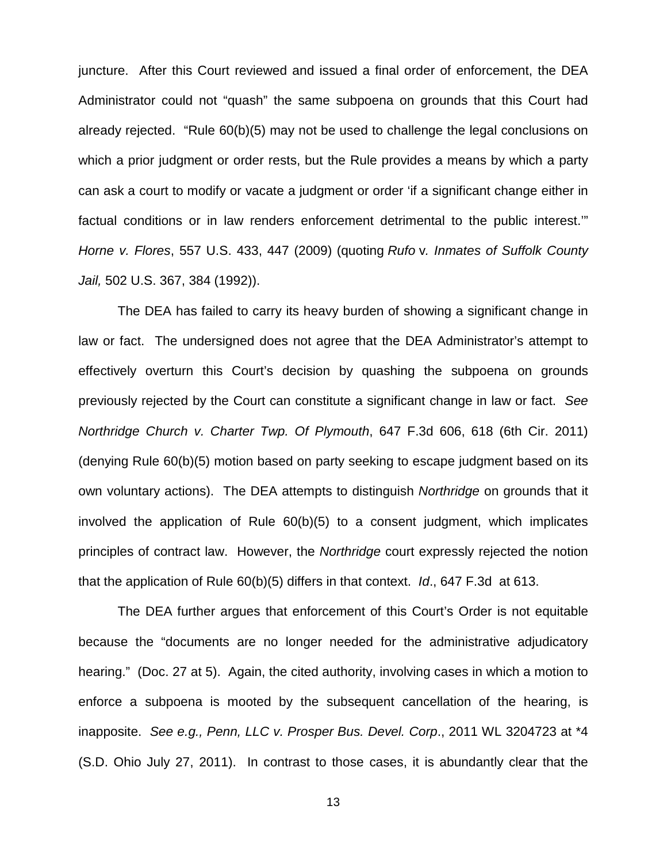juncture. After this Court reviewed and issued a final order of enforcement, the DEA Administrator could not "quash" the same subpoena on grounds that this Court had already rejected. "Rule 60(b)(5) may not be used to challenge the legal conclusions on which a prior judgment or order rests, but the Rule provides a means by which a party can ask a court to modify or vacate a judgment or order 'if a significant change either in factual conditions or in law renders enforcement detrimental to the public interest.'" Horne v. Flores, 557 U.S. 433, 447 (2009) (quoting Rufo v[. Inmates of Suffolk County](https://1.next.westlaw.com/Link/Document/FullText?findType=Y&serNum=1992023470&pubNum=0000708&originatingDoc=Idc7cb8a6617611de9988d233d23fe599&refType=RP&originationContext=document&transitionType=DocumentItem&contextData=(sc.UserEnteredCitation))  Jail, [502 U.S. 367, 384 \(1992\)\)](https://1.next.westlaw.com/Link/Document/FullText?findType=Y&serNum=1992023470&pubNum=0000708&originatingDoc=Idc7cb8a6617611de9988d233d23fe599&refType=RP&originationContext=document&transitionType=DocumentItem&contextData=(sc.UserEnteredCitation)).

The DEA has failed to carry its heavy burden of showing a significant change in law or fact. The undersigned does not agree that the DEA Administrator's attempt to effectively overturn this Court's decision by quashing the subpoena on grounds previously rejected by the Court can constitute a significant change in law or fact. See Northridge Church v. Charter Twp. Of Plymouth, 647 F.3d 606, 618 (6th Cir. 2011) (denying Rule 60(b)(5) motion based on party seeking to escape judgment based on its own voluntary actions). The DEA attempts to distinguish Northridge on grounds that it involved the application of Rule 60(b)(5) to a consent judgment, which implicates principles of contract law. However, the Northridge court expressly rejected the notion that the application of Rule 60(b)(5) differs in that context. Id., 647 F.3d at 613.

The DEA further argues that enforcement of this Court's Order is not equitable because the "documents are no longer needed for the administrative adjudicatory hearing." (Doc. 27 at 5). Again, the cited authority, involving cases in which a motion to enforce a subpoena is mooted by the subsequent cancellation of the hearing, is inapposite. See e.g., Penn, LLC v. Prosper Bus. Devel. Corp., 2011 WL 3204723 at \*4 (S.D. Ohio July 27, 2011). In contrast to those cases, it is abundantly clear that the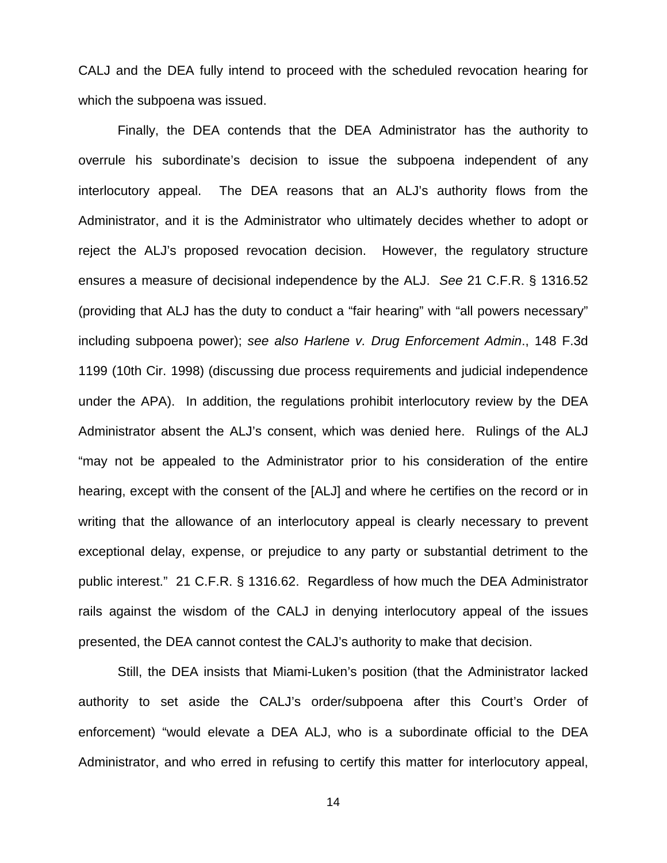CALJ and the DEA fully intend to proceed with the scheduled revocation hearing for which the subpoena was issued.

Finally, the DEA contends that the DEA Administrator has the authority to overrule his subordinate's decision to issue the subpoena independent of any interlocutory appeal. The DEA reasons that an ALJ's authority flows from the Administrator, and it is the Administrator who ultimately decides whether to adopt or reject the ALJ's proposed revocation decision. However, the regulatory structure ensures a measure of decisional independence by the ALJ. See 21 C.F.R. § 1316.52 (providing that ALJ has the duty to conduct a "fair hearing" with "all powers necessary" including subpoena power); see also Harlene v. Drug Enforcement Admin., 148 F.3d 1199 (10th Cir. 1998) (discussing due process requirements and judicial independence under the APA). In addition, the regulations prohibit interlocutory review by the DEA Administrator absent the ALJ's consent, which was denied here. Rulings of the ALJ "may not be appealed to the Administrator prior to his consideration of the entire hearing, except with the consent of the [ALJ] and where he certifies on the record or in writing that the allowance of an interlocutory appeal is clearly necessary to prevent exceptional delay, expense, or prejudice to any party or substantial detriment to the public interest." 21 C.F.R. § 1316.62. Regardless of how much the DEA Administrator rails against the wisdom of the CALJ in denying interlocutory appeal of the issues presented, the DEA cannot contest the CALJ's authority to make that decision.

Still, the DEA insists that Miami-Luken's position (that the Administrator lacked authority to set aside the CALJ's order/subpoena after this Court's Order of enforcement) "would elevate a DEA ALJ, who is a subordinate official to the DEA Administrator, and who erred in refusing to certify this matter for interlocutory appeal,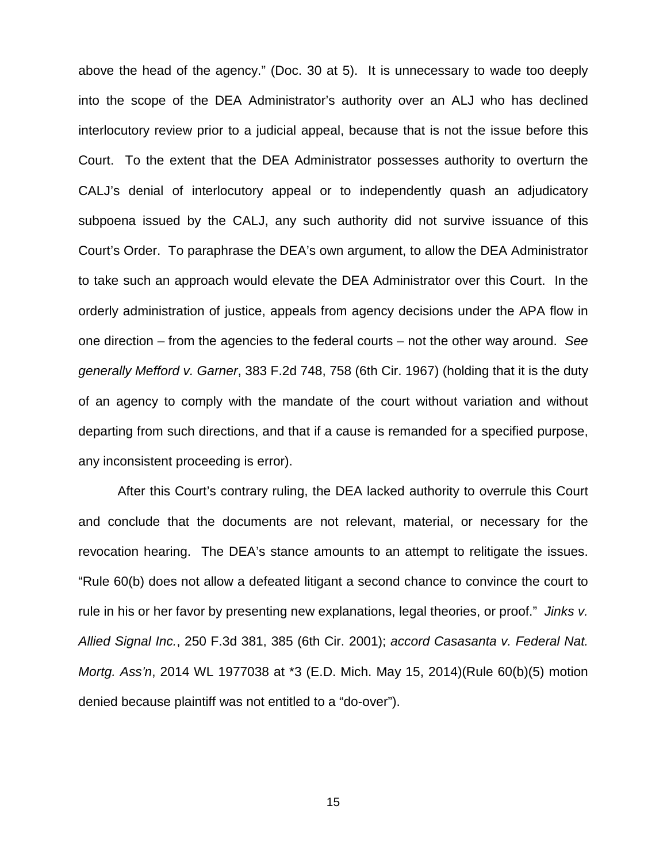above the head of the agency." (Doc. 30 at 5). It is unnecessary to wade too deeply into the scope of the DEA Administrator's authority over an ALJ who has declined interlocutory review prior to a judicial appeal, because that is not the issue before this Court. To the extent that the DEA Administrator possesses authority to overturn the CALJ's denial of interlocutory appeal or to independently quash an adjudicatory subpoena issued by the CALJ, any such authority did not survive issuance of this Court's Order. To paraphrase the DEA's own argument, to allow the DEA Administrator to take such an approach would elevate the DEA Administrator over this Court. In the orderly administration of justice, appeals from agency decisions under the APA flow in one direction – from the agencies to the federal courts – not the other way around. See generally Mefford v. Garner, 383 F.2d 748, 758 (6th Cir. 1967) (holding that it is the duty of an agency to comply with the mandate of the court without variation and without departing from such directions, and that if a cause is remanded for a specified purpose, any inconsistent proceeding is error).

After this Court's contrary ruling, the DEA lacked authority to overrule this Court and conclude that the documents are not relevant, material, or necessary for the revocation hearing. The DEA's stance amounts to an attempt to relitigate the issues. "Rule 60(b) does not allow a defeated litigant a second chance to convince the court to rule in his or her favor by presenting new explanations, legal theories, or proof." Jinks v. Allied Signal Inc., 250 F.3d 381, 385 (6th Cir. 2001); accord Casasanta v. Federal Nat. Mortg. Ass'n, 2014 WL 1977038 at \*3 (E.D. Mich. May 15, 2014)(Rule 60(b)(5) motion denied because plaintiff was not entitled to a "do-over").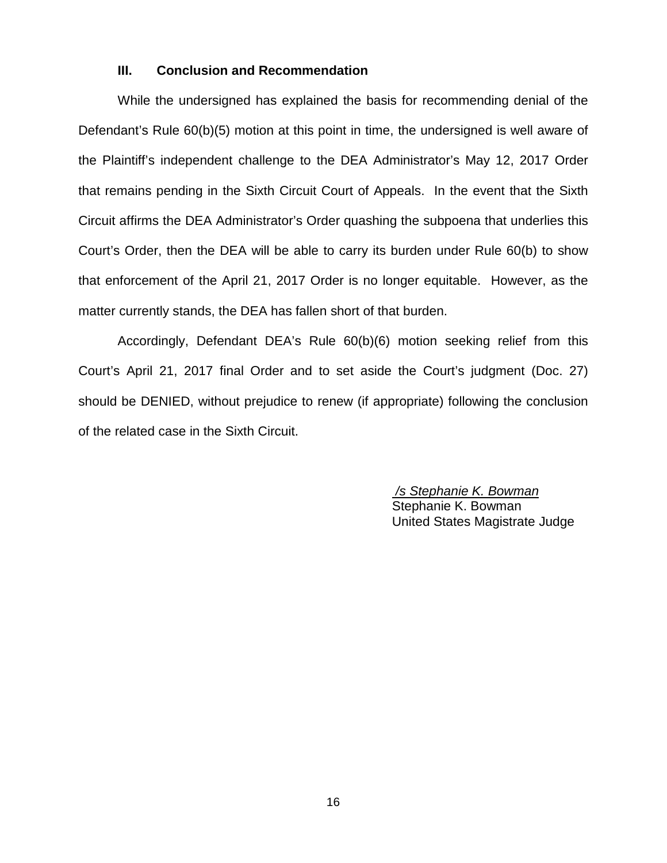## **III. Conclusion and Recommendation**

While the undersigned has explained the basis for recommending denial of the Defendant's Rule 60(b)(5) motion at this point in time, the undersigned is well aware of the Plaintiff's independent challenge to the DEA Administrator's May 12, 2017 Order that remains pending in the Sixth Circuit Court of Appeals. In the event that the Sixth Circuit affirms the DEA Administrator's Order quashing the subpoena that underlies this Court's Order, then the DEA will be able to carry its burden under Rule 60(b) to show that enforcement of the April 21, 2017 Order is no longer equitable. However, as the matter currently stands, the DEA has fallen short of that burden.

Accordingly, Defendant DEA's Rule 60(b)(6) motion seeking relief from this Court's April 21, 2017 final Order and to set aside the Court's judgment (Doc. 27) should be DENIED, without prejudice to renew (if appropriate) following the conclusion of the related case in the Sixth Circuit.

> /s Stephanie K. Bowman Stephanie K. Bowman United States Magistrate Judge